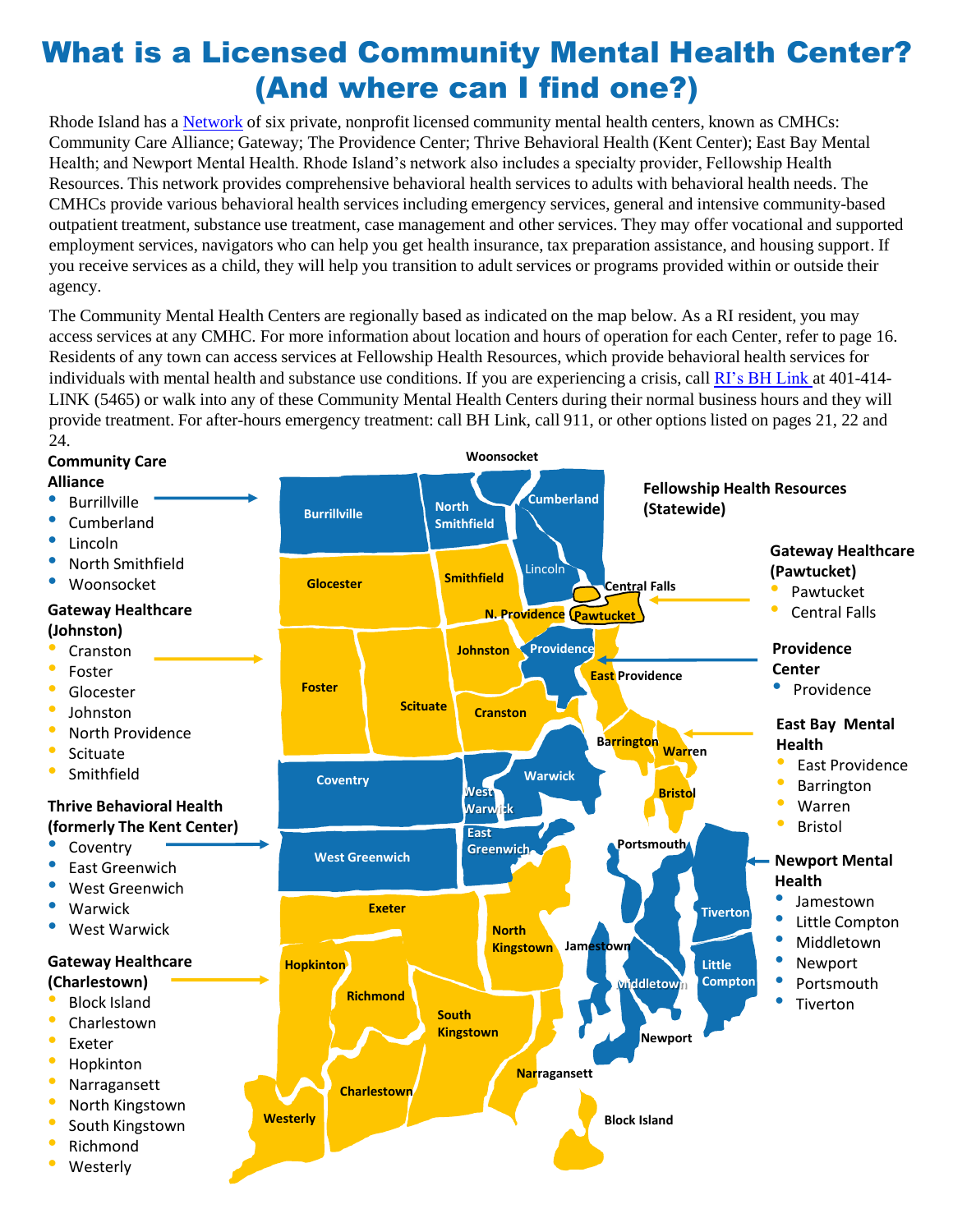# What is a Licensed Community Mental Health Center? (And where can I find one?)

Rhode Island has a [Network](https://bhddh.ri.gov/mentalhealthservices/licensed/) of six private, nonprofit licensed community mental health centers, known as CMHCs: Community Care Alliance; Gateway; The Providence Center; Thrive Behavioral Health (Kent Center); East Bay Mental Health; and Newport Mental Health. Rhode Island's network also includes a specialty provider, Fellowship Health Resources. This network provides comprehensive behavioral health services to adults with behavioral health needs. The CMHCs provide various behavioral health services including emergency services, general and intensive community-based outpatient treatment, substance use treatment, case management and other services. They may offer vocational and supported employment services, navigators who can help you get health insurance, tax preparation assistance, and housing support. If you receive services as a child, they will help you transition to adult services or programs provided within or outside their agency.

The Community Mental Health Centers are regionally based as indicated on the map below. As a RI resident, you may access services at any CMHC. For more information about location and hours of operation for each Center, refer to page 16. Residents of any town can access services at Fellowship Health Resources, which provide behavioral health services for individuals with mental health and substance use conditions. If you are experiencing a crisis, call [RI's BH Link](https://www.bhlink.org/) at 401-414- LINK (5465) or walk into any of these Community Mental Health Centers during their normal business hours and they will provide treatment. For after-hours emergency treatment: call BH Link, call 911, or other options listed on pages 21, 22 and 24.

#### **Gateway Healthcare (Charlestown)** • Block Island • Charlestown **Exeter** • Hopkinton • Narragansett • North Kingstown • South Kingstown • Richmond **Westerly Community Care Alliance Burrillville** • Cumberland • Lincoln • North Smithfield • Woonsocket **Gateway Healthcare (Pawtucket)** • Pawtucket • Central Falls **Westerly Charlestown South Kingstown Narragansett Block Island Richmond Hopkinton North Kingstown Exeter West Greenwich Coventry Tiverton Little Compton Newport East Providence Barrington Burrillville Glocester Foster Smithfield Scituate North Smithfield Cumberland Woonsocket Johnston** Lincoln **Cranston Warwick West Warwick East Greenwich Warren Bristol Portsmouth Jamestown N. Providence Dawtucket Providence Central Falls Gateway Healthcare (Johnston)** • Cranston **Foster Glocester** • Johnston • North Providence **Scituate Smithfield Thrive Behavioral Health (formerly The Kent Center) Coventry** • East Greenwich West Greenwich • Warwick West Warwick **East Bay Mental Health** • East Providence **Barrington** • Warren **Bristol Providence Center** • Providence **Newport Mental Health** • Jamestown • Little Compton • Middletown • Newport • Portsmouth **Tiverton Middletown Fellowship Health Resources (Statewide)**